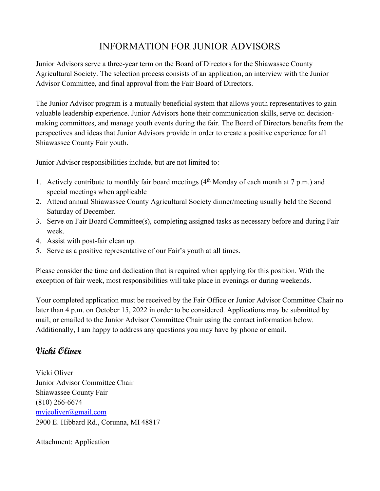## INFORMATION FOR JUNIOR ADVISORS

Junior Advisors serve a three-year term on the Board of Directors for the Shiawassee County Agricultural Society. The selection process consists of an application, an interview with the Junior Advisor Committee, and final approval from the Fair Board of Directors.

The Junior Advisor program is a mutually beneficial system that allows youth representatives to gain valuable leadership experience. Junior Advisors hone their communication skills, serve on decisionmaking committees, and manage youth events during the fair. The Board of Directors benefits from the perspectives and ideas that Junior Advisors provide in order to create a positive experience for all Shiawassee County Fair youth.

Junior Advisor responsibilities include, but are not limited to:

- 1. Actively contribute to monthly fair board meetings  $(4<sup>th</sup> Monday of each month at 7 p.m.)$  and special meetings when applicable
- 2. Attend annual Shiawassee County Agricultural Society dinner/meeting usually held the Second Saturday of December.
- 3. Serve on Fair Board Committee(s), completing assigned tasks as necessary before and during Fair week.
- 4. Assist with post-fair clean up.
- 5. Serve as a positive representative of our Fair's youth at all times.

Please consider the time and dedication that is required when applying for this position. With the exception of fair week, most responsibilities will take place in evenings or during weekends.

Your completed application must be received by the Fair Office or Junior Advisor Committee Chair no later than 4 p.m. on October 15, 2022 in order to be considered. Applications may be submitted by mail, or emailed to the Junior Advisor Committee Chair using the contact information below. Additionally, I am happy to address any questions you may have by phone or email.

## **Vicki Oliver**

Vicki Oliver Junior Advisor Committee Chair Shiawassee County Fair (810) 266-6674 [mvjeoliver@gmail.com](mailto:mvjeoliver@gmail.com) 2900 E. Hibbard Rd., Corunna, MI 48817

Attachment: Application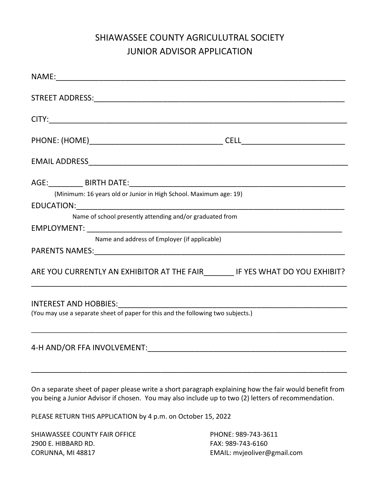# SHIAWASSEE COUNTY AGRICULUTRAL SOCIETY JUNIOR ADVISOR APPLICATION

| (Minimum: 16 years old or Junior in High School. Maximum age: 19)                |
|----------------------------------------------------------------------------------|
|                                                                                  |
| Name of school presently attending and/or graduated from                         |
|                                                                                  |
| Name and address of Employer (if applicable)                                     |
|                                                                                  |
| ARE YOU CURRENTLY AN EXHIBITOR AT THE FAIR________ IF YES WHAT DO YOU EXHIBIT?   |
|                                                                                  |
| (You may use a separate sheet of paper for this and the following two subjects.) |
|                                                                                  |

On a separate sheet of paper please write a short paragraph explaining how the fair would benefit from you being a Junior Advisor if chosen. You may also include up to two (2) letters of recommendation.

\_\_\_\_\_\_\_\_\_\_\_\_\_\_\_\_\_\_\_\_\_\_\_\_\_\_\_\_\_\_\_\_\_\_\_\_\_\_\_\_\_\_\_\_\_\_\_\_\_\_\_\_\_\_\_\_\_\_\_\_\_\_\_\_\_\_\_\_\_\_\_\_\_

PLEASE RETURN THIS APPLICATION by 4 p.m. on October 15, 2022

SHIAWASSEE COUNTY FAIR OFFICE PHONE: 989-743-3611 2900 E. HIBBARD RD. FAX: 989-743-6160 CORUNNA, MI 48817 EMAIL: mvjeoliver@gmail.com